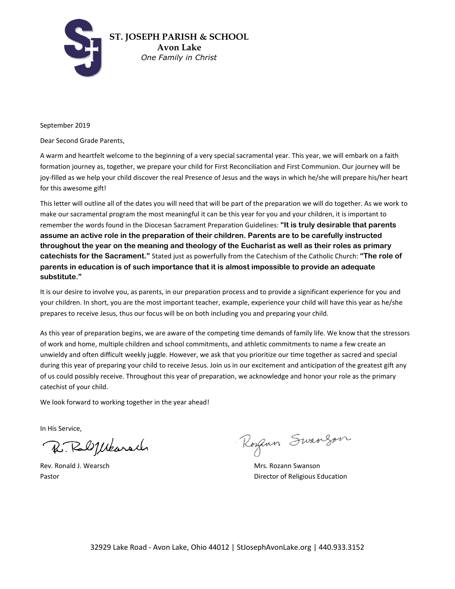

September 2019

Dear Second Grade Parents,

A warm and heartfelt welcome to the beginning of a very special sacramental year. This year, we will embark on a faith formation journey as, together, we prepare your child for First Reconciliation and First Communion. Our journey will be joy-filled as we help your child discover the real Presence of Jesus and the ways in which he/she will prepare his/her heart for this awesome gift!

This letter will outline all of the dates you will need that will be part of the preparation we will do together. As we work to make our sacramental program the most meaningful it can be this year for you and your children, it is important to remember the words found in the Diocesan Sacrament Preparation Guidelines: **"It is truly desirable that parents assume an active role in the preparation of their children. Parents are to be carefully instructed throughout the year on the meaning and theology of the Eucharist as well as their roles as primary catechists for the Sacrament."** Stated just as powerfully from the Catechism of the Catholic Church: **"The role of parents in education is of such importance that it is almost impossible to provide an adequate substitute."**

It is our desire to involve you, as parents, in our preparation process and to provide a significant experience for you and your children. In short, you are the most important teacher, example, experience your child will have this year as he/she prepares to receive Jesus, thus our focus will be on both including you and preparing your child.

As this year of preparation begins, we are aware of the competing time demands of family life. We know that the stressors of work and home, multiple children and school commitments, and athletic commitments to name a few create an unwieldy and often difficult weekly juggle. However, we ask that you prioritize our time together as sacred and special during this year of preparing your child to receive Jesus. Join us in our excitement and anticipation of the greatest gift any of us could possibly receive. Throughout this year of preparation, we acknowledge and honor your role as the primary catechist of your child.

We look forward to working together in the year ahead!

In His Service,

R. Ralplearach

Rogan Swanzon

Rev. Ronald J. Wearsch Mrs. Rozann Swanson Pastor **Pastor Pastor Pastor Director of Religious Education**